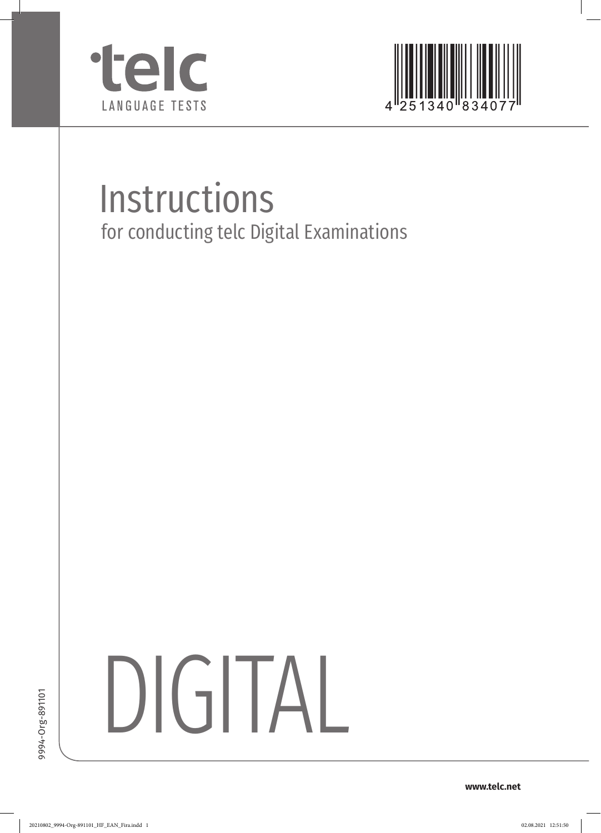



# Instructions for conducting telc Digital Examinations

DIGITAL

**www.telc.net**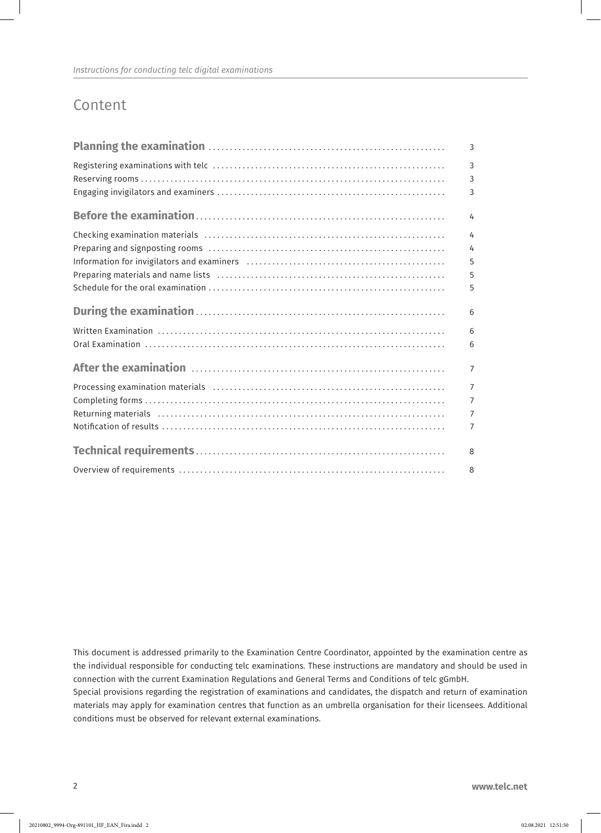# Content

| 3                   |
|---------------------|
| $\overline{3}$<br>3 |
| 3                   |
| 4                   |
| $\overline{4}$      |
| 4                   |
| 5                   |
| 5                   |
| 5                   |
| 6                   |
| 6                   |
| 6                   |
| 7                   |
| $\overline{7}$      |
| $\overline{7}$      |
| $\overline{7}$      |
| 7                   |
| 8                   |
| 8                   |

This document is addressed primarily to the Examination Centre Coordinator, appointed by the examination centre as the individual responsible for conducting telc examinations. These instructions are mandatory and should be used in connection with the current Examination Regulations and General Terms and Conditions of telc gGmbH.

Special provisions regarding the registration of examinations and candidates, the dispatch and return of examination materials may apply for examination centres that function as an umbrella organisation for their licensees. Additional conditions must be observed for relevant external examinations.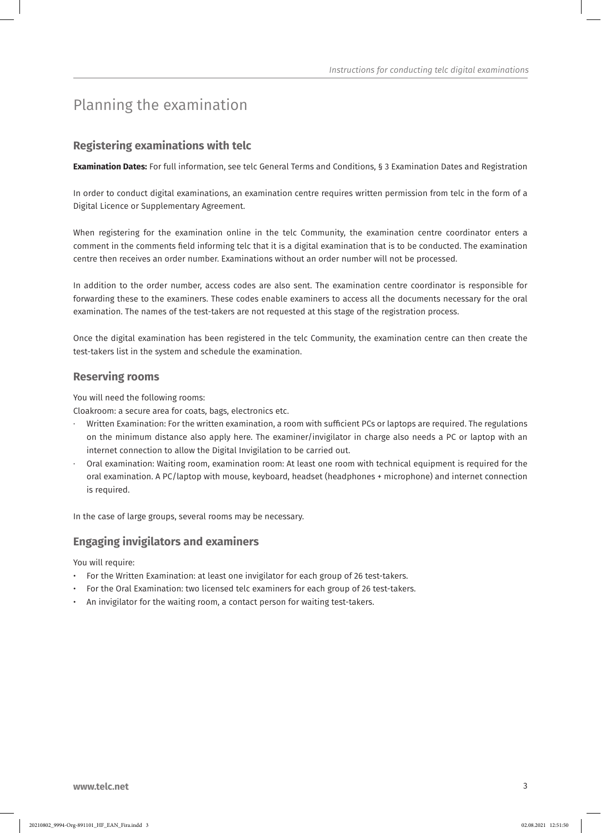# Planning the examination

## **Registering examinations with telc**

**Examination Dates:** For full information, see telc General Terms and Conditions, § 3 Examination Dates and Registration

In order to conduct digital examinations, an examination centre requires written permission from telc in the form of a Digital Licence or Supplementary Agreement.

When registering for the examination online in the telc Community, the examination centre coordinator enters a comment in the comments field informing telc that it is a digital examination that is to be conducted. The examination centre then receives an order number. Examinations without an order number will not be processed.

In addition to the order number, access codes are also sent. The examination centre coordinator is responsible for forwarding these to the examiners. These codes enable examiners to access all the documents necessary for the oral examination. The names of the test-takers are not requested at this stage of the registration process.

Once the digital examination has been registered in the telc Community, the examination centre can then create the test-takers list in the system and schedule the examination.

#### **Reserving rooms**

You will need the following rooms:

Cloakroom: a secure area for coats, bags, electronics etc.

- · Written Examination: For the written examination, a room with sufficient PCs or laptops are required. The regulations on the minimum distance also apply here. The examiner/invigilator in charge also needs a PC or laptop with an internet connection to allow the Digital Invigilation to be carried out.
- · Oral examination: Waiting room, examination room: At least one room with technical equipment is required for the oral examination. A PC/laptop with mouse, keyboard, headset (headphones + microphone) and internet connection is required.

In the case of large groups, several rooms may be necessary.

## **Engaging invigilators and examiners**

You will require:

- For the Written Examination: at least one invigilator for each group of 26 test-takers.
- For the Oral Examination: two licensed telc examiners for each group of 26 test-takers.
- An invigilator for the waiting room, a contact person for waiting test-takers.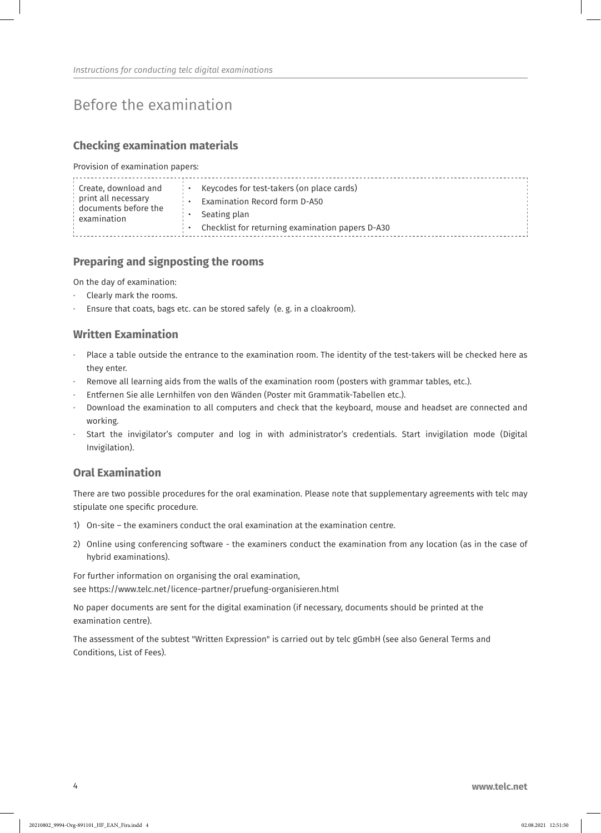# Before the examination

## **Checking examination materials**

Provision of examination papers:

| $\,$ Create, download and<br>print all necessary<br>documents before the<br>examination |  | Keycodes for test-takers (on place cards)<br>Examination Record form D-A50<br>Seating plan<br>Checklist for returning examination papers D-A30 |  |
|-----------------------------------------------------------------------------------------|--|------------------------------------------------------------------------------------------------------------------------------------------------|--|
|-----------------------------------------------------------------------------------------|--|------------------------------------------------------------------------------------------------------------------------------------------------|--|

## **Preparing and signposting the rooms**

On the day of examination:

- Clearly mark the rooms.
- Ensure that coats, bags etc. can be stored safely (e. g. in a cloakroom).

## **Written Examination**

- Place a table outside the entrance to the examination room. The identity of the test-takers will be checked here as they enter.
- Remove all learning aids from the walls of the examination room (posters with grammar tables, etc.).
- · Entfernen Sie alle Lernhilfen von den Wänden (Poster mit Grammatik-Tabellen etc.).
- · Download the examination to all computers and check that the keyboard, mouse and headset are connected and working.
- Start the invigilator's computer and log in with administrator's credentials. Start invigilation mode (Digital Invigilation).

#### **Oral Examination**

There are two possible procedures for the oral examination. Please note that supplementary agreements with telc may stipulate one specific procedure.

- 1) On-site the examiners conduct the oral examination at the examination centre.
- 2) Online using conferencing software the examiners conduct the examination from any location (as in the case of hybrid examinations).

For further information on organising the oral examination, see https://www.telc.net/licence-partner/pruefung-organisieren.html

No paper documents are sent for the digital examination (if necessary, documents should be printed at the examination centre).

The assessment of the subtest "Written Expression" is carried out by telc gGmbH (see also General Terms and Conditions, List of Fees).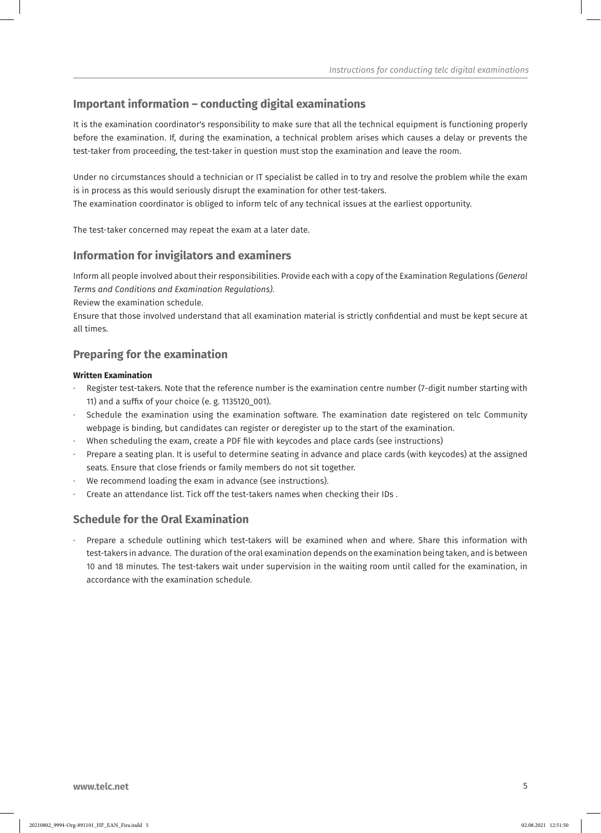## **Important information – conducting digital examinations**

It is the examination coordinator's responsibility to make sure that all the technical equipment is functioning properly before the examination. If, during the examination, a technical problem arises which causes a delay or prevents the test-taker from proceeding, the test-taker in question must stop the examination and leave the room.

Under no circumstances should a technician or IT specialist be called in to try and resolve the problem while the exam is in process as this would seriously disrupt the examination for other test-takers.

The examination coordinator is obliged to inform telc of any technical issues at the earliest opportunity.

The test-taker concerned may repeat the exam at a later date.

## **Information for invigilators and examiners**

Inform all people involved about their responsibilities. Provide each with a copy of the Examination Regulations *(General Terms and Conditions and Examination Regulations)*.

Review the examination schedule.

Ensure that those involved understand that all examination material is strictly confidential and must be kept secure at all times.

## **Preparing for the examination**

#### **Written Examination**

- Register test-takers. Note that the reference number is the examination centre number (7-digit number starting with 11) and a suffix of your choice (e. g. 1135120\_001).
- Schedule the examination using the examination software. The examination date registered on telc Community webpage is binding, but candidates can register or deregister up to the start of the examination.
- When scheduling the exam, create a PDF file with keycodes and place cards (see instructions)
- Prepare a seating plan. It is useful to determine seating in advance and place cards (with keycodes) at the assigned seats. Ensure that close friends or family members do not sit together.
- We recommend loading the exam in advance (see instructions).
- · Create an attendance list. Tick off the test-takers names when checking their IDs .

## **Schedule for the Oral Examination**

Prepare a schedule outlining which test-takers will be examined when and where. Share this information with test-takers in advance. The duration of the oral examination depends on the examination being taken, and is between 10 and 18 minutes. The test-takers wait under supervision in the waiting room until called for the examination, in accordance with the examination schedule.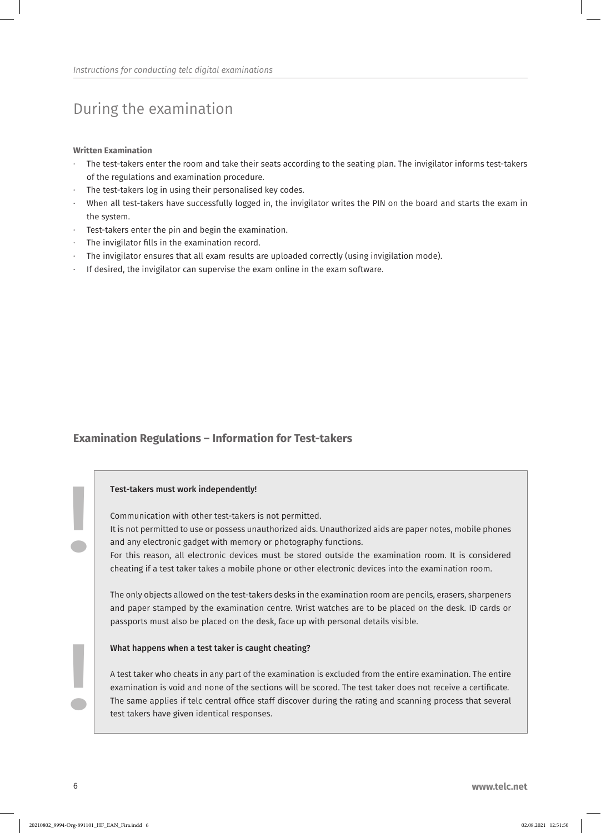# During the examination

**Written Examination** 

- The test-takers enter the room and take their seats according to the seating plan. The invigilator informs test-takers of the regulations and examination procedure.
- The test-takers log in using their personalised key codes.
- When all test-takers have successfully logged in, the invigilator writes the PIN on the board and starts the exam in the system.
- · Test-takers enter the pin and begin the examination.
- The invigilator fills in the examination record.
- The invigilator ensures that all exam results are uploaded correctly (using invigilation mode).
- If desired, the invigilator can supervise the exam online in the exam software.

#### **Examination Regulations – Information for Test-takers**

#### Test-takers must work independently!

Communication with other test-takers is not permitted.

It is not permitted to use or possess unauthorized aids. Unauthorized aids are paper notes, mobile phones and any electronic gadget with memory or photography functions.

For this reason, all electronic devices must be stored outside the examination room. It is considered cheating if a test taker takes a mobile phone or other electronic devices into the examination room.

The only objects allowed on the test-takers desks in the examination room are pencils, erasers, sharpeners and paper stamped by the examination centre. Wrist watches are to be placed on the desk. ID cards or passports must also be placed on the desk, face up with personal details visible.

#### What happens when a test taker is caught cheating?

A test taker who cheats in any part of the examination is excluded from the entire examination. The entire examination is void and none of the sections will be scored. The test taker does not receive a certificate. The same applies if telc central office staff discover during the rating and scanning process that several test takers have given identical responses.

**!** 

**!**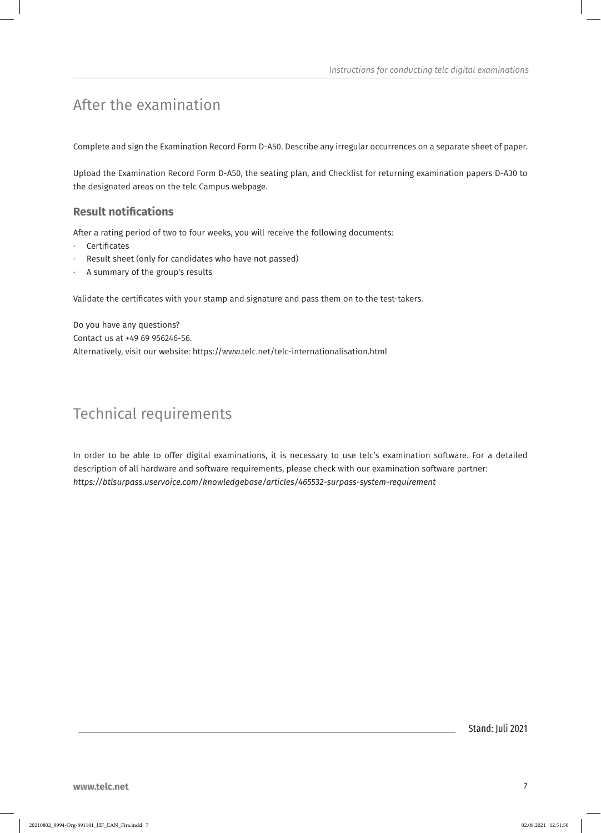# After the examination

Complete and sign the Examination Record Form D-A50. Describe any irregular occurrences on a separate sheet of paper.

Upload the Examination Record Form D-A50, the seating plan, and Checklist for returning examination papers D-A30 to the designated areas on the telc Campus webpage.

## **Result notifications**

After a rating period of two to four weeks, you will receive the following documents:

- **Certificates**
- Result sheet (only for candidates who have not passed)
- A summary of the group's results

Validate the certificates with your stamp and signature and pass them on to the test-takers.

Do you have any questions? Contact us at +49 69 956246-56. Alternatively, visit our website: https://www.telc.net/telc-internationalisation.html

# Technical requirements

In order to be able to offer digital examinations, it is necessary to use telc's examination software. For a detailed description of all hardware and software requirements, please check with our examination software partner: *https://btlsurpass.uservoice.com/knowledgebase/articles/465532-surpass-system-requirement*

Stand: Juli 2021

**www.telc.net** 7